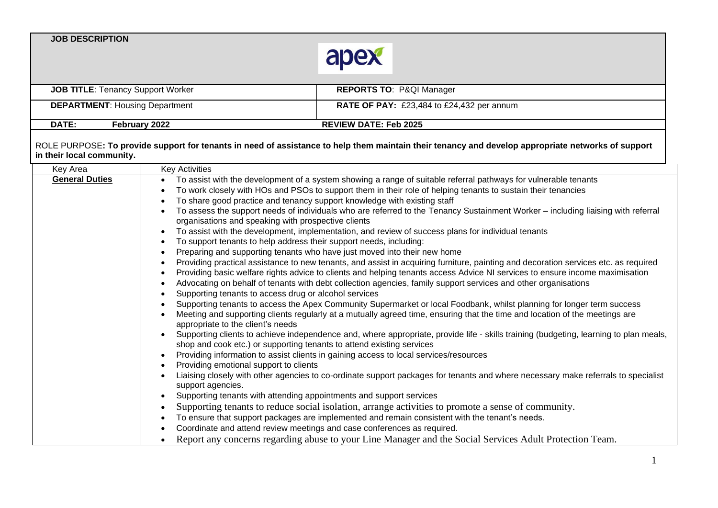

| <b>JOB TITLE: Tenancy Support Worker</b> | <b>REPORTS TO: P&amp;QI Manager</b>              |
|------------------------------------------|--------------------------------------------------|
| <b>DEPARTMENT: Housing Department</b>    | <b>RATE OF PAY:</b> £23,484 to £24,432 per annum |
| DATE:<br><b>February 2022</b>            | <b>REVIEW DATE: Feb 2025</b>                     |

## ROLE PURPOSE**: To provide support for tenants in need of assistance to help them maintain their tenancy and develop appropriate networks of support in their local community.**

| Key Area              | <b>Key Activities</b>                                                                                                                                                                                                                                                                      |
|-----------------------|--------------------------------------------------------------------------------------------------------------------------------------------------------------------------------------------------------------------------------------------------------------------------------------------|
| <b>General Duties</b> | To assist with the development of a system showing a range of suitable referral pathways for vulnerable tenants                                                                                                                                                                            |
|                       | To work closely with HOs and PSOs to support them in their role of helping tenants to sustain their tenancies                                                                                                                                                                              |
|                       | To share good practice and tenancy support knowledge with existing staff                                                                                                                                                                                                                   |
|                       | To assess the support needs of individuals who are referred to the Tenancy Sustainment Worker – including liaising with referral<br>organisations and speaking with prospective clients                                                                                                    |
|                       | To assist with the development, implementation, and review of success plans for individual tenants                                                                                                                                                                                         |
|                       | To support tenants to help address their support needs, including:                                                                                                                                                                                                                         |
|                       | Preparing and supporting tenants who have just moved into their new home                                                                                                                                                                                                                   |
|                       | Providing practical assistance to new tenants, and assist in acquiring furniture, painting and decoration services etc. as required                                                                                                                                                        |
|                       | Providing basic welfare rights advice to clients and helping tenants access Advice NI services to ensure income maximisation                                                                                                                                                               |
|                       | Advocating on behalf of tenants with debt collection agencies, family support services and other organisations                                                                                                                                                                             |
|                       | Supporting tenants to access drug or alcohol services                                                                                                                                                                                                                                      |
|                       | Supporting tenants to access the Apex Community Supermarket or local Foodbank, whilst planning for longer term success<br>Meeting and supporting clients regularly at a mutually agreed time, ensuring that the time and location of the meetings are<br>appropriate to the client's needs |
|                       | Supporting clients to achieve independence and, where appropriate, provide life - skills training (budgeting, learning to plan meals,<br>shop and cook etc.) or supporting tenants to attend existing services                                                                             |
|                       | Providing information to assist clients in gaining access to local services/resources                                                                                                                                                                                                      |
|                       | Providing emotional support to clients                                                                                                                                                                                                                                                     |
|                       | Liaising closely with other agencies to co-ordinate support packages for tenants and where necessary make referrals to specialist<br>support agencies.                                                                                                                                     |
|                       | Supporting tenants with attending appointments and support services                                                                                                                                                                                                                        |
|                       | Supporting tenants to reduce social isolation, arrange activities to promote a sense of community.                                                                                                                                                                                         |
|                       | To ensure that support packages are implemented and remain consistent with the tenant's needs.                                                                                                                                                                                             |
|                       | Coordinate and attend review meetings and case conferences as required.                                                                                                                                                                                                                    |
|                       | Report any concerns regarding abuse to your Line Manager and the Social Services Adult Protection Team.                                                                                                                                                                                    |